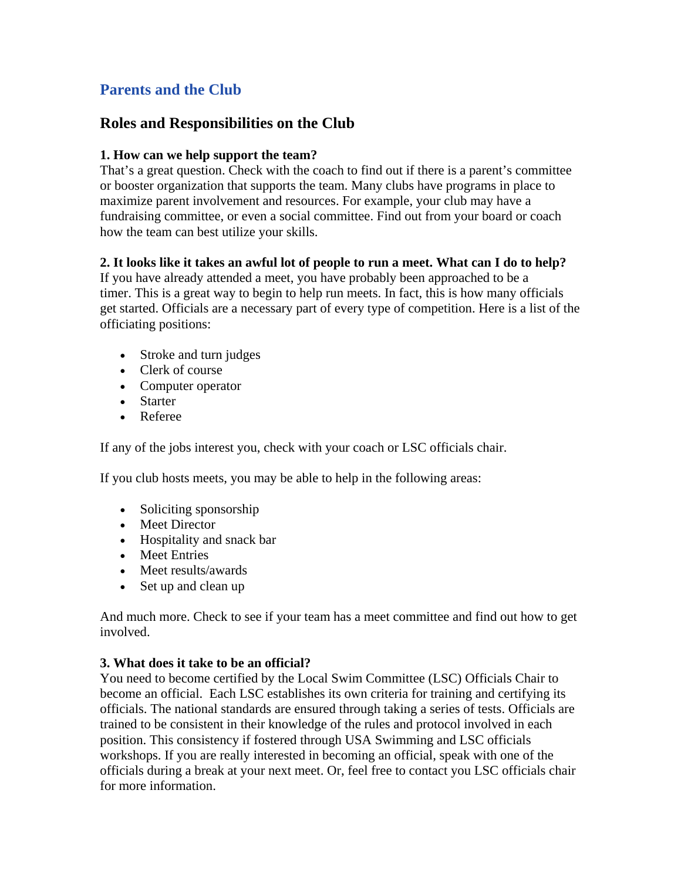# **Parents and the Club**

# **Roles and Responsibilities on the Club**

# **1. How can we help support the team?**

That's a great question. Check with the coach to find out if there is a parent's committee or booster organization that supports the team. Many clubs have programs in place to maximize parent involvement and resources. For example, your club may have a fundraising committee, or even a social committee. Find out from your board or coach how the team can best utilize your skills.

# **2. It looks like it takes an awful lot of people to run a meet. What can I do to help?**

If you have already attended a meet, you have probably been approached to be a timer. This is a great way to begin to help run meets. In fact, this is how many officials get started. Officials are a necessary part of every type of competition. Here is a list of the officiating positions:

- Stroke and turn judges
- Clerk of course
- Computer operator
- Starter
- Referee

If any of the jobs interest you, check with your coach or LSC officials chair.

If you club hosts meets, you may be able to help in the following areas:

- Soliciting sponsorship
- Meet Director
- Hospitality and snack bar
- Meet Entries
- Meet results/awards
- Set up and clean up

And much more. Check to see if your team has a meet committee and find out how to get involved.

#### **3. What does it take to be an official?**

You need to become certified by the Local Swim Committee (LSC) Officials Chair to become an official. Each LSC establishes its own criteria for training and certifying its officials. The national standards are ensured through taking a series of tests. Officials are trained to be consistent in their knowledge of the rules and protocol involved in each position. This consistency if fostered through USA Swimming and LSC officials workshops. If you are really interested in becoming an official, speak with one of the officials during a break at your next meet. Or, feel free to contact you LSC officials chair for more information.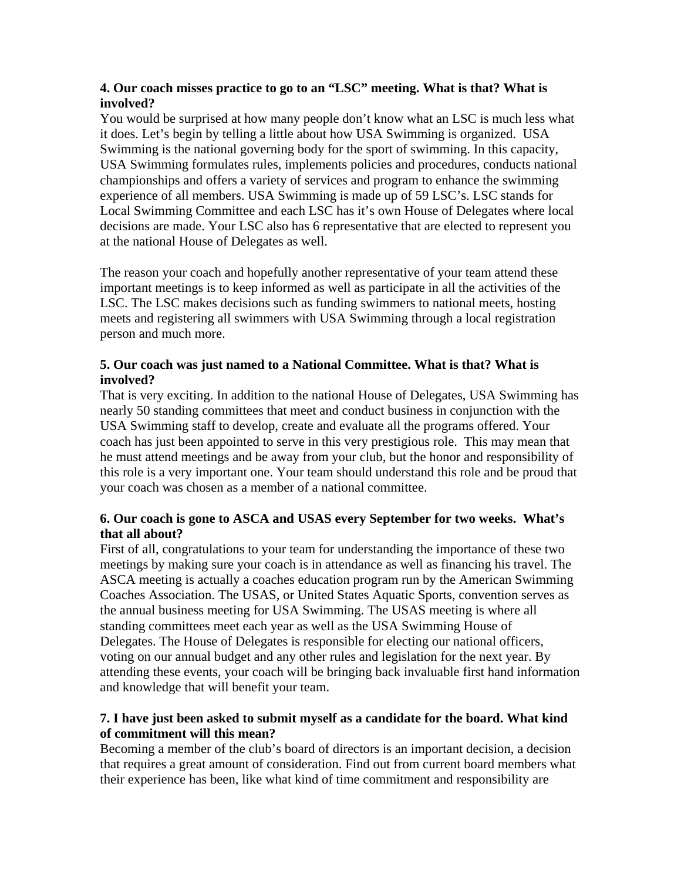#### **4. Our coach misses practice to go to an "LSC" meeting. What is that? What is involved?**

You would be surprised at how many people don't know what an LSC is much less what it does. Let's begin by telling a little about how USA Swimming is organized. USA Swimming is the national governing body for the sport of swimming. In this capacity, USA Swimming formulates rules, implements policies and procedures, conducts national championships and offers a variety of services and program to enhance the swimming experience of all members. USA Swimming is made up of 59 LSC's. LSC stands for Local Swimming Committee and each LSC has it's own House of Delegates where local decisions are made. Your LSC also has 6 representative that are elected to represent you at the national House of Delegates as well.

The reason your coach and hopefully another representative of your team attend these important meetings is to keep informed as well as participate in all the activities of the LSC. The LSC makes decisions such as funding swimmers to national meets, hosting meets and registering all swimmers with USA Swimming through a local registration person and much more.

#### **5. Our coach was just named to a National Committee. What is that? What is involved?**

That is very exciting. In addition to the national House of Delegates, USA Swimming has nearly 50 standing committees that meet and conduct business in conjunction with the USA Swimming staff to develop, create and evaluate all the programs offered. Your coach has just been appointed to serve in this very prestigious role. This may mean that he must attend meetings and be away from your club, but the honor and responsibility of this role is a very important one. Your team should understand this role and be proud that your coach was chosen as a member of a national committee.

# **6. Our coach is gone to ASCA and USAS every September for two weeks. What's that all about?**

First of all, congratulations to your team for understanding the importance of these two meetings by making sure your coach is in attendance as well as financing his travel. The ASCA meeting is actually a coaches education program run by the American Swimming Coaches Association. The USAS, or United States Aquatic Sports, convention serves as the annual business meeting for USA Swimming. The USAS meeting is where all standing committees meet each year as well as the USA Swimming House of Delegates. The House of Delegates is responsible for electing our national officers, voting on our annual budget and any other rules and legislation for the next year. By attending these events, your coach will be bringing back invaluable first hand information and knowledge that will benefit your team.

# **7. I have just been asked to submit myself as a candidate for the board. What kind of commitment will this mean?**

Becoming a member of the club's board of directors is an important decision, a decision that requires a great amount of consideration. Find out from current board members what their experience has been, like what kind of time commitment and responsibility are